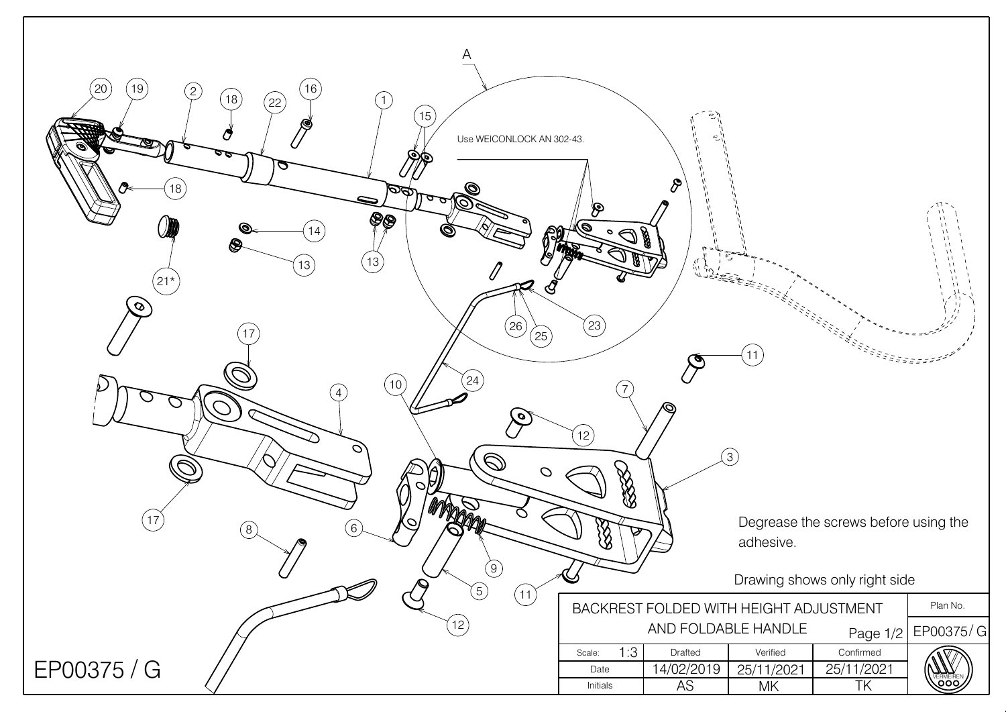